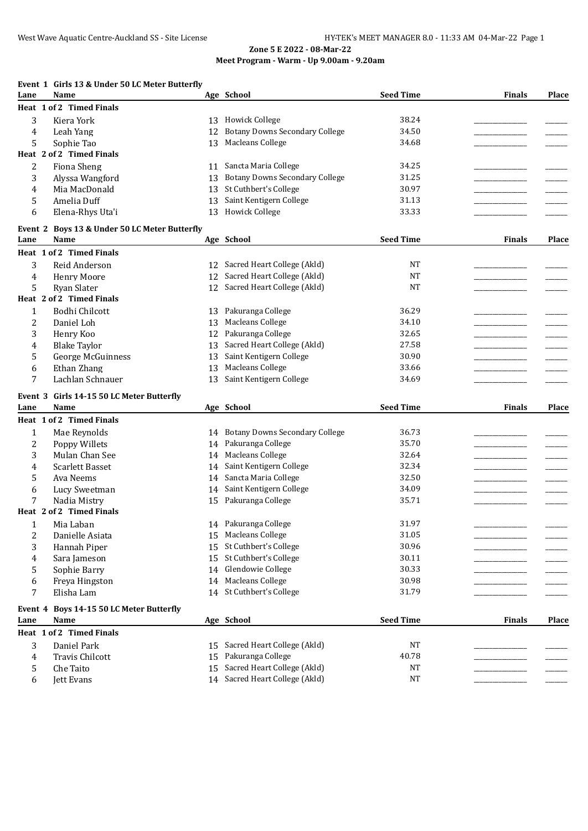## **Event 1 Girls 13 & Under 50 LC Meter Butterfly**

| Lane           | Name                                          |    | Age School                            | <b>Seed Time</b> | <b>Finals</b> | Place |
|----------------|-----------------------------------------------|----|---------------------------------------|------------------|---------------|-------|
|                | Heat 1 of 2 Timed Finals                      |    |                                       |                  |               |       |
| 3              | Kiera York                                    |    | 13 Howick College                     | 38.24            |               |       |
| 4              | Leah Yang                                     | 12 | <b>Botany Downs Secondary College</b> | 34.50            |               |       |
| 5              | Sophie Tao                                    | 13 | Macleans College                      | 34.68            |               |       |
|                | Heat 2 of 2 Timed Finals                      |    |                                       |                  |               |       |
| 2              | <b>Fiona Sheng</b>                            | 11 | Sancta Maria College                  | 34.25            |               |       |
| 3              | Alyssa Wangford                               | 13 | <b>Botany Downs Secondary College</b> | 31.25            |               |       |
| 4              | Mia MacDonald                                 | 13 | St Cuthbert's College                 | 30.97            |               |       |
| 5              | Amelia Duff                                   | 13 | Saint Kentigern College               | 31.13            |               |       |
| 6              | Elena-Rhys Uta'i                              |    | 13 Howick College                     | 33.33            |               |       |
|                | Event 2 Boys 13 & Under 50 LC Meter Butterfly |    |                                       |                  |               |       |
| Lane           | Name                                          |    | Age School                            | <b>Seed Time</b> | <b>Finals</b> | Place |
|                | Heat 1 of 2 Timed Finals                      |    |                                       |                  |               |       |
| 3              | Reid Anderson                                 |    | 12 Sacred Heart College (Akld)        | NT               |               |       |
| 4              | <b>Henry Moore</b>                            | 12 | Sacred Heart College (Akld)           | <b>NT</b>        |               |       |
| 5              | Ryan Slater                                   | 12 | Sacred Heart College (Akld)           | <b>NT</b>        |               |       |
|                | Heat 2 of 2 Timed Finals                      |    |                                       |                  |               |       |
| $\mathbf{1}$   | Bodhi Chilcott                                | 13 | Pakuranga College                     | 36.29            |               |       |
| 2              | Daniel Loh                                    | 13 | <b>Macleans College</b>               | 34.10            |               |       |
| 3              | Henry Koo                                     | 12 | Pakuranga College                     | 32.65            |               |       |
| 4              | <b>Blake Taylor</b>                           | 13 | Sacred Heart College (Akld)           | 27.58            |               |       |
| 5              | George McGuinness                             | 13 | Saint Kentigern College               | 30.90            |               |       |
| 6              | Ethan Zhang                                   | 13 | Macleans College                      | 33.66            |               |       |
| 7              | Lachlan Schnauer                              | 13 | Saint Kentigern College               | 34.69            |               |       |
|                |                                               |    |                                       |                  |               |       |
|                | Event 3 Girls 14-15 50 LC Meter Butterfly     |    |                                       |                  |               |       |
| Lane           | <b>Name</b>                                   |    | Age School                            | <b>Seed Time</b> | <b>Finals</b> | Place |
|                | Heat 1 of 2 Timed Finals                      |    |                                       |                  |               |       |
| $\mathbf{1}$   | Mae Reynolds                                  |    | 14 Botany Downs Secondary College     | 36.73            |               |       |
| 2              | Poppy Willets                                 |    | 14 Pakuranga College                  | 35.70            |               |       |
| 3              | Mulan Chan See                                | 14 | <b>Macleans College</b>               | 32.64            |               |       |
| 4              | <b>Scarlett Basset</b>                        | 14 | Saint Kentigern College               | 32.34            |               |       |
| 5              | Ava Neems                                     | 14 | Sancta Maria College                  | 32.50            |               |       |
| 6              | Lucy Sweetman                                 | 14 | Saint Kentigern College               | 34.09            |               |       |
| 7              | Nadia Mistry                                  |    | 15 Pakuranga College                  | 35.71            |               |       |
|                | Heat 2 of 2 Timed Finals                      |    |                                       |                  |               |       |
| 1              | Mia Laban                                     |    | 14 Pakuranga College                  | 31.97            |               |       |
| $\overline{c}$ | Danielle Asiata                               |    | 15 Macleans College                   | 31.05            |               |       |
| 3              | Hannah Piper                                  |    | 15 St Cuthbert's College              | 30.96            |               |       |
| 4              | Sara Jameson                                  | 15 | St Cuthbert's College                 | 30.11            |               |       |
| 5              | Sophie Barry                                  |    | 14 Glendowie College                  | 30.33            |               |       |
| 6              | Freya Hingston                                |    | 14 Macleans College                   | 30.98            |               |       |
| 7              | Elisha Lam                                    |    | 14 St Cuthbert's College              | 31.79            |               |       |
|                | Event 4 Boys 14-15 50 LC Meter Butterfly      |    |                                       |                  |               |       |
| Lane           | Name                                          |    | Age School                            | <b>Seed Time</b> | <b>Finals</b> | Place |
|                | Heat 1 of 2 Timed Finals                      |    |                                       |                  |               |       |
| 3              | Daniel Park                                   |    | 15 Sacred Heart College (Akld)        | <b>NT</b>        |               |       |
| 4              | Travis Chilcott                               |    | 15 Pakuranga College                  | 40.78            |               |       |
| 5              | Che Taito                                     | 15 | Sacred Heart College (Akld)           | <b>NT</b>        |               |       |
| 6              | Jett Evans                                    |    | 14 Sacred Heart College (Akld)        | NT               |               |       |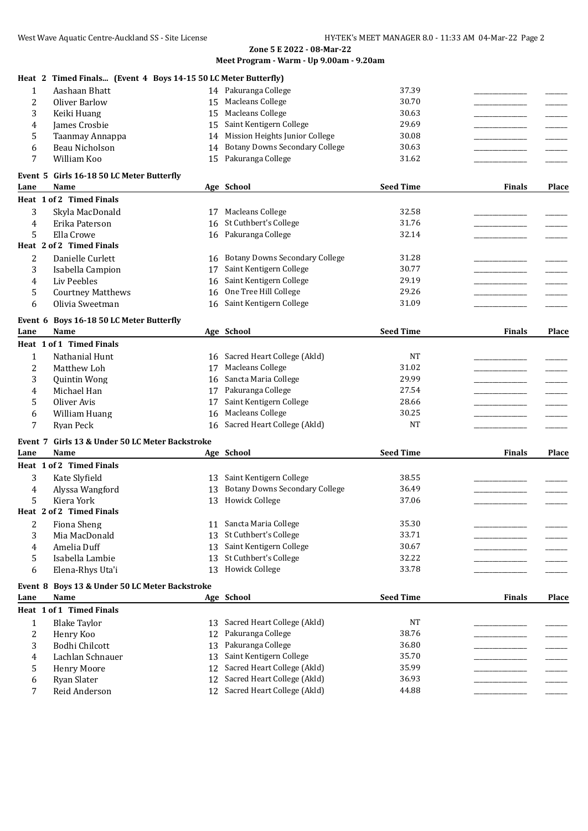|                  | Heat 2 Timed Finals (Event 4 Boys 14-15 50 LC Meter Butterfly) |    |                                       |                  |               |       |
|------------------|----------------------------------------------------------------|----|---------------------------------------|------------------|---------------|-------|
| $\mathbf{1}$     | Aashaan Bhatt                                                  |    | 14 Pakuranga College                  | 37.39            |               |       |
| 2                | Oliver Barlow                                                  | 15 | <b>Macleans College</b>               | 30.70            |               |       |
| 3                | Keiki Huang                                                    |    | 15 Macleans College                   | 30.63            |               |       |
| 4                | <b>James Crosbie</b>                                           | 15 | Saint Kentigern College               | 29.69            |               |       |
| 5                | Taanmay Annappa                                                | 14 | Mission Heights Junior College        | 30.08            |               |       |
| 6                | Beau Nicholson                                                 | 14 | <b>Botany Downs Secondary College</b> | 30.63            |               |       |
| 7                | William Koo                                                    | 15 | Pakuranga College                     | 31.62            |               |       |
|                  | Event 5 Girls 16-18 50 LC Meter Butterfly                      |    |                                       |                  |               |       |
| Lane             | Name                                                           |    | Age School                            | <b>Seed Time</b> | <b>Finals</b> | Place |
|                  | Heat 1 of 2 Timed Finals                                       |    |                                       |                  |               |       |
| 3                | Skyla MacDonald                                                |    | 17 Macleans College                   | 32.58            |               |       |
| 4                | Erika Paterson                                                 | 16 | St Cuthbert's College                 | 31.76            |               |       |
| 5                | Ella Crowe                                                     | 16 | Pakuranga College                     | 32.14            |               |       |
|                  | Heat 2 of 2 Timed Finals                                       |    |                                       |                  |               |       |
| 2                | Danielle Curlett                                               | 16 | <b>Botany Downs Secondary College</b> | 31.28            |               |       |
|                  |                                                                | 17 | Saint Kentigern College               | 30.77            |               |       |
| 3<br>4           | Isabella Campion<br>Liv Peebles                                |    | Saint Kentigern College               | 29.19            |               |       |
|                  |                                                                | 16 | One Tree Hill College                 | 29.26            |               |       |
| 5                | <b>Courtney Matthews</b>                                       | 16 | Saint Kentigern College               | 31.09            |               |       |
| 6                | Olivia Sweetman                                                | 16 |                                       |                  |               |       |
| Event 6          | Boys 16-18 50 LC Meter Butterfly                               |    |                                       |                  |               |       |
| Lane             | Name                                                           |    | Age School                            | <b>Seed Time</b> | <b>Finals</b> | Place |
|                  | Heat 1 of 1 Timed Finals                                       |    |                                       |                  |               |       |
| 1                | Nathanial Hunt                                                 |    | 16 Sacred Heart College (Akld)        | NT               |               |       |
| $\overline{2}$   | Matthew Loh                                                    | 17 | Macleans College                      | 31.02            |               |       |
| 3                | <b>Quintin Wong</b>                                            | 16 | Sancta Maria College                  | 29.99            |               |       |
| 4                | Michael Han                                                    | 17 | Pakuranga College                     | 27.54            |               |       |
| 5                | Oliver Avis                                                    | 17 | Saint Kentigern College               | 28.66            |               |       |
| 6                | William Huang                                                  | 16 | Macleans College                      | 30.25            |               |       |
| 7                | Ryan Peck                                                      | 16 | Sacred Heart College (Akld)           | <b>NT</b>        |               |       |
| Event 7          | Girls 13 & Under 50 LC Meter Backstroke                        |    |                                       |                  |               |       |
| Lane             | Name                                                           |    | Age School                            | <b>Seed Time</b> | <b>Finals</b> | Place |
|                  | Heat 1 of 2 Timed Finals                                       |    |                                       |                  |               |       |
| 3                | Kate Slyfield                                                  | 13 | Saint Kentigern College               | 38.55            |               |       |
|                  | Alyssa Wangford                                                | 13 | <b>Botany Downs Secondary College</b> | 36.49            |               |       |
| 4<br>5           | Kiera York                                                     | 13 | <b>Howick College</b>                 | 37.06            |               |       |
|                  | Heat 2 of 2 Timed Finals                                       |    |                                       |                  |               |       |
| $\boldsymbol{2}$ | <b>Fiona Sheng</b>                                             | 11 | Sancta Maria College                  | 35.30            |               |       |
| 3                | Mia MacDonald                                                  | 13 | St Cuthbert's College                 | 33.71            |               |       |
| 4                | Amelia Duff                                                    | 13 | Saint Kentigern College               | 30.67            |               |       |
| 5                | Isabella Lambie                                                | 13 | St Cuthbert's College                 | 32.22            |               |       |
| 6                | Elena-Rhys Uta'i                                               | 13 | <b>Howick College</b>                 | 33.78            |               |       |
|                  |                                                                |    |                                       |                  |               |       |
|                  | Event 8 Boys 13 & Under 50 LC Meter Backstroke                 |    |                                       |                  |               |       |
| Lane             | Name                                                           |    | Age School                            | <b>Seed Time</b> | <b>Finals</b> | Place |
|                  | Heat 1 of 1 Timed Finals                                       |    |                                       |                  |               |       |
| 1                | <b>Blake Taylor</b>                                            |    | 13 Sacred Heart College (Akld)        | NT               |               |       |
| 2                | Henry Koo                                                      | 12 | Pakuranga College                     | 38.76            |               |       |
| 3                | Bodhi Chilcott                                                 | 13 | Pakuranga College                     | 36.80            |               |       |
| 4                | Lachlan Schnauer                                               | 13 | Saint Kentigern College               | 35.70            |               |       |
| 5                | <b>Henry Moore</b>                                             | 12 | Sacred Heart College (Akld)           | 35.99            |               |       |
| 6                | Ryan Slater                                                    | 12 | Sacred Heart College (Akld)           | 36.93            |               |       |
| 7                | Reid Anderson                                                  |    | 12 Sacred Heart College (Akld)        | 44.88            |               |       |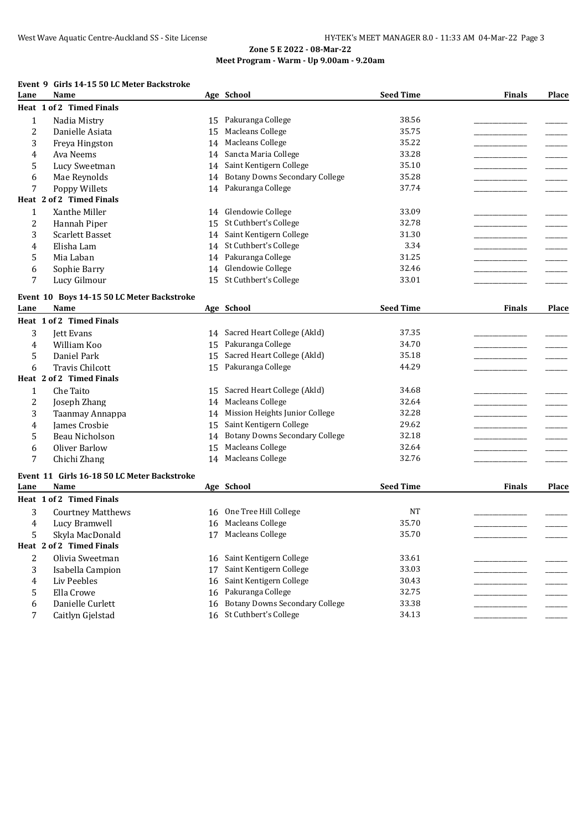#### **Event 9 Girls 14-15 50 LC Meter Backstroke**

| Lane         | Name                                        |    | Age School                            | <b>Seed Time</b> | <b>Finals</b> | Place |
|--------------|---------------------------------------------|----|---------------------------------------|------------------|---------------|-------|
|              | Heat 1 of 2 Timed Finals                    |    |                                       |                  |               |       |
| $\mathbf{1}$ | Nadia Mistry                                | 15 | Pakuranga College                     | 38.56            |               |       |
| 2            | Danielle Asiata                             | 15 | <b>Macleans College</b>               | 35.75            |               |       |
| 3            | Freya Hingston                              | 14 | Macleans College                      | 35.22            |               |       |
| 4            | Ava Neems                                   | 14 | Sancta Maria College                  | 33.28            |               |       |
| 5            | Lucy Sweetman                               | 14 | Saint Kentigern College               | 35.10            |               |       |
| 6            | Mae Reynolds                                | 14 | <b>Botany Downs Secondary College</b> | 35.28            |               |       |
| 7            | Poppy Willets                               | 14 | Pakuranga College                     | 37.74            |               |       |
|              | Heat 2 of 2 Timed Finals                    |    |                                       |                  |               |       |
| 1            | Xanthe Miller                               |    | 14 Glendowie College                  | 33.09            |               |       |
| 2            | Hannah Piper                                |    | 15 St Cuthbert's College              | 32.78            |               |       |
| 3            | <b>Scarlett Basset</b>                      |    | 14 Saint Kentigern College            | 31.30            |               |       |
| 4            | Elisha Lam                                  |    | 14 St Cuthbert's College              | 3.34             |               |       |
| 5            | Mia Laban                                   | 14 | Pakuranga College                     | 31.25            |               |       |
| 6            | Sophie Barry                                | 14 | Glendowie College                     | 32.46            |               |       |
| 7            | Lucy Gilmour                                | 15 | St Cuthbert's College                 | 33.01            |               |       |
|              |                                             |    |                                       |                  |               |       |
|              | Event 10 Boys 14-15 50 LC Meter Backstroke  |    |                                       |                  |               |       |
| Lane         | Name                                        |    | Age School                            | <b>Seed Time</b> | <b>Finals</b> | Place |
|              | Heat 1 of 2 Timed Finals                    |    |                                       |                  |               |       |
| 3            | Jett Evans                                  |    | 14 Sacred Heart College (Akld)        | 37.35            |               |       |
| 4            | William Koo                                 | 15 | Pakuranga College                     | 34.70            |               |       |
| 5            | Daniel Park                                 | 15 | Sacred Heart College (Akld)           | 35.18            |               |       |
| 6            | <b>Travis Chilcott</b>                      | 15 | Pakuranga College                     | 44.29            |               |       |
|              | Heat 2 of 2 Timed Finals                    |    |                                       |                  |               |       |
| $\mathbf{1}$ | Che Taito                                   | 15 | Sacred Heart College (Akld)           | 34.68            |               |       |
| 2            | Joseph Zhang                                |    | 14 Macleans College                   | 32.64            |               |       |
| 3            | Taanmay Annappa                             |    | 14 Mission Heights Junior College     | 32.28            |               |       |
| 4            | James Crosbie                               | 15 | Saint Kentigern College               | 29.62            |               |       |
| 5            | Beau Nicholson                              | 14 | <b>Botany Downs Secondary College</b> | 32.18            |               |       |
| 6            | Oliver Barlow                               | 15 | Macleans College                      | 32.64            |               |       |
| 7            | Chichi Zhang                                |    | 14 Macleans College                   | 32.76            |               |       |
|              | Event 11 Girls 16-18 50 LC Meter Backstroke |    |                                       |                  |               |       |
| Lane         | Name                                        |    | Age School                            | <b>Seed Time</b> | <b>Finals</b> | Place |
|              | Heat 1 of 2 Timed Finals                    |    |                                       |                  |               |       |
| 3            | <b>Courtney Matthews</b>                    |    | 16 One Tree Hill College              | <b>NT</b>        |               |       |
| 4            | Lucy Bramwell                               |    | 16 Macleans College                   | 35.70            |               |       |
| 5            | Skyla MacDonald                             |    | 17 Macleans College                   | 35.70            |               |       |
|              | Heat 2 of 2 Timed Finals                    |    |                                       |                  |               |       |
| 2            | Olivia Sweetman                             |    | 16 Saint Kentigern College            | 33.61            |               |       |
| 3            | Isabella Campion                            | 17 | Saint Kentigern College               | 33.03            |               |       |
| 4            | Liv Peebles                                 | 16 | Saint Kentigern College               | 30.43            |               |       |
|              | Ella Crowe                                  |    | Pakuranga College                     | 32.75            |               |       |
| 5            |                                             | 16 | <b>Botany Downs Secondary College</b> | 33.38            |               |       |
| 6            | Danielle Curlett                            | 16 | 16 St Cuthbert's College              |                  |               |       |
| 7            | Caitlyn Gjelstad                            |    |                                       | 34.13            |               |       |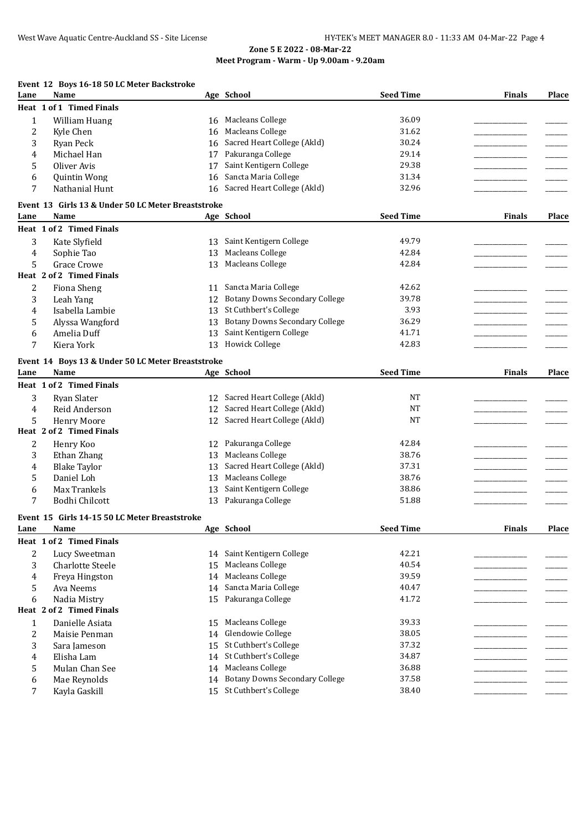## **Event 12 Boys 16-18 50 LC Meter Backstroke**

| Lane           | Name                                               |    | Age School                            | <b>Seed Time</b> | <b>Finals</b> | Place |
|----------------|----------------------------------------------------|----|---------------------------------------|------------------|---------------|-------|
|                | Heat 1 of 1 Timed Finals                           |    |                                       |                  |               |       |
| $\mathbf{1}$   | <b>William Huang</b>                               | 16 | <b>Macleans College</b>               | 36.09            |               |       |
| 2              | Kyle Chen                                          | 16 | Macleans College                      | 31.62            |               |       |
| 3              | Ryan Peck                                          | 16 | Sacred Heart College (Akld)           | 30.24            |               |       |
| 4              | Michael Han                                        | 17 | Pakuranga College                     | 29.14            |               |       |
| 5              | Oliver Avis                                        | 17 | Saint Kentigern College               | 29.38            |               |       |
| 6              | Quintin Wong                                       | 16 | Sancta Maria College                  | 31.34            |               |       |
| 7              | Nathanial Hunt                                     | 16 | Sacred Heart College (Akld)           | 32.96            |               |       |
|                | Event 13 Girls 13 & Under 50 LC Meter Breaststroke |    |                                       |                  |               |       |
| Lane           | Name                                               |    | Age School                            | <b>Seed Time</b> | <b>Finals</b> | Place |
|                | Heat 1 of 2 Timed Finals                           |    |                                       |                  |               |       |
|                |                                                    |    |                                       | 49.79            |               |       |
| 3              | Kate Slyfield                                      | 13 | Saint Kentigern College               |                  |               |       |
| 4              | Sophie Tao                                         | 13 | Macleans College                      | 42.84            |               |       |
| 5              | Grace Crowe                                        | 13 | Macleans College                      | 42.84            |               |       |
|                | Heat 2 of 2 Timed Finals                           |    |                                       |                  |               |       |
| 2              | Fiona Sheng                                        | 11 | Sancta Maria College                  | 42.62            |               |       |
| 3              | Leah Yang                                          | 12 | <b>Botany Downs Secondary College</b> | 39.78            |               |       |
| 4              | Isabella Lambie                                    | 13 | St Cuthbert's College                 | 3.93             |               |       |
| 5              | Alyssa Wangford                                    | 13 | <b>Botany Downs Secondary College</b> | 36.29            |               |       |
| 6              | Amelia Duff                                        | 13 | Saint Kentigern College               | 41.71            |               |       |
| 7              | Kiera York                                         | 13 | <b>Howick College</b>                 | 42.83            |               |       |
|                | Event 14 Boys 13 & Under 50 LC Meter Breaststroke  |    |                                       |                  |               |       |
| Lane           | Name                                               |    | Age School                            | <b>Seed Time</b> | <b>Finals</b> | Place |
|                | Heat 1 of 2 Timed Finals                           |    |                                       |                  |               |       |
|                |                                                    |    | Sacred Heart College (Akld)           | NT               |               |       |
| 3              | Ryan Slater                                        | 12 | Sacred Heart College (Akld)           | <b>NT</b>        |               |       |
| 4              | Reid Anderson                                      | 12 |                                       |                  |               |       |
| 5              | <b>Henry Moore</b>                                 | 12 | Sacred Heart College (Akld)           | <b>NT</b>        |               |       |
|                | Heat 2 of 2 Timed Finals                           |    |                                       |                  |               |       |
| 2              | Henry Koo                                          | 12 | Pakuranga College                     | 42.84            |               |       |
| 3              | Ethan Zhang                                        | 13 | Macleans College                      | 38.76            |               |       |
| 4              | <b>Blake Taylor</b>                                | 13 | Sacred Heart College (Akld)           | 37.31            |               |       |
| 5              | Daniel Loh                                         | 13 | Macleans College                      | 38.76            |               |       |
| 6              | Max Trankels                                       | 13 | Saint Kentigern College               | 38.86            |               |       |
| 7              | Bodhi Chilcott                                     | 13 | Pakuranga College                     | 51.88            |               |       |
|                | Event 15 Girls 14-15 50 LC Meter Breaststroke      |    |                                       |                  |               |       |
| Lane           | Name                                               |    | Age School                            | <b>Seed Time</b> | <b>Finals</b> | Place |
|                | Heat 1 of 2 Timed Finals                           |    |                                       |                  |               |       |
| 2              | Lucy Sweetman                                      | 14 | Saint Kentigern College               | 42.21            |               |       |
| 3              | <b>Charlotte Steele</b>                            | 15 | <b>Macleans College</b>               | 40.54            |               |       |
| 4              | Freya Hingston                                     | 14 | Macleans College                      | 39.59            |               |       |
| 5              | Ava Neems                                          | 14 | Sancta Maria College                  | 40.47            |               |       |
| 6              | Nadia Mistry                                       | 15 | Pakuranga College                     | 41.72            |               |       |
|                | Heat 2 of 2 Timed Finals                           |    |                                       |                  |               |       |
|                |                                                    |    |                                       | 39.33            |               |       |
| $\mathbf{1}$   | Danielle Asiata                                    | 15 | Macleans College                      |                  |               |       |
| $\overline{2}$ | Maisie Penman                                      | 14 | Glendowie College                     | 38.05            |               |       |
| 3              | Sara Jameson                                       | 15 | St Cuthbert's College                 | 37.32            |               |       |
| 4              | Elisha Lam                                         | 14 | St Cuthbert's College                 | 34.87            |               |       |
| 5              | Mulan Chan See                                     | 14 | Macleans College                      | 36.88            |               |       |
| 6              | Mae Reynolds                                       | 14 | <b>Botany Downs Secondary College</b> | 37.58            |               |       |
| 7              | Kayla Gaskill                                      | 15 | St Cuthbert's College                 | 38.40            |               |       |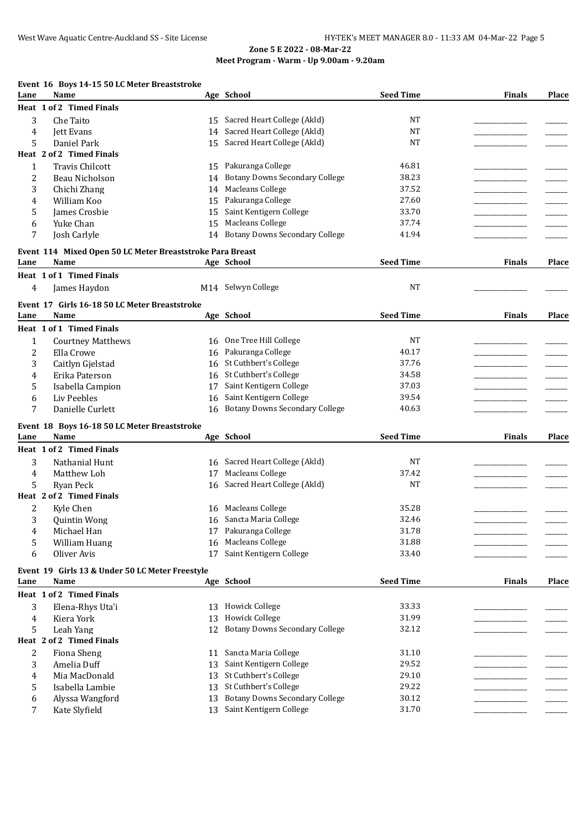## **Event 16 Boys 14-15 50 LC Meter Breaststroke**

| Lane         | Name                                                      |    | Age School                            | <b>Seed Time</b> | <b>Finals</b> | <b>Place</b> |
|--------------|-----------------------------------------------------------|----|---------------------------------------|------------------|---------------|--------------|
|              | Heat 1 of 2 Timed Finals                                  |    |                                       |                  |               |              |
| 3            | Che Taito                                                 | 15 | Sacred Heart College (Akld)           | NT               |               |              |
| 4            | <b>Jett Evans</b>                                         | 14 | Sacred Heart College (Akld)           | <b>NT</b>        |               |              |
| 5            | Daniel Park                                               | 15 | Sacred Heart College (Akld)           | <b>NT</b>        |               |              |
|              | Heat 2 of 2 Timed Finals                                  |    |                                       |                  |               |              |
| $\mathbf{1}$ | Travis Chilcott                                           | 15 | Pakuranga College                     | 46.81            |               |              |
| 2            | Beau Nicholson                                            | 14 | <b>Botany Downs Secondary College</b> | 38.23            |               |              |
| 3            | Chichi Zhang                                              | 14 | Macleans College                      | 37.52            |               |              |
| 4            | William Koo                                               | 15 | Pakuranga College                     | 27.60            |               |              |
| 5            | James Crosbie                                             | 15 | Saint Kentigern College               | 33.70            |               |              |
| 6            | Yuke Chan                                                 | 15 | Macleans College                      | 37.74            |               |              |
| 7            | Josh Carlyle                                              | 14 | <b>Botany Downs Secondary College</b> | 41.94            |               |              |
|              |                                                           |    |                                       |                  |               |              |
|              | Event 114 Mixed Open 50 LC Meter Breaststroke Para Breast |    |                                       |                  |               |              |
| Lane         | Name                                                      |    | Age School                            | <b>Seed Time</b> | <b>Finals</b> | <b>Place</b> |
|              | Heat 1 of 1 Timed Finals                                  |    |                                       |                  |               |              |
| 4            | James Haydon                                              |    | M14 Selwyn College                    | <b>NT</b>        |               |              |
|              |                                                           |    |                                       |                  |               |              |
|              | Event 17 Girls 16-18 50 LC Meter Breaststroke             |    |                                       |                  |               |              |
| Lane         | Name                                                      |    | Age School                            | <b>Seed Time</b> | <b>Finals</b> | <b>Place</b> |
|              | Heat 1 of 1 Timed Finals                                  |    |                                       |                  |               |              |
| $\mathbf{1}$ | <b>Courtney Matthews</b>                                  | 16 | One Tree Hill College                 | <b>NT</b>        |               |              |
| 2            | Ella Crowe                                                | 16 | Pakuranga College                     | 40.17            |               |              |
| 3            | Caitlyn Gjelstad                                          | 16 | St Cuthbert's College                 | 37.76            |               |              |
| 4            | Erika Paterson                                            | 16 | St Cuthbert's College                 | 34.58            |               |              |
| 5            | Isabella Campion                                          | 17 | Saint Kentigern College               | 37.03            |               |              |
| 6            | Liv Peebles                                               | 16 | Saint Kentigern College               | 39.54            |               |              |
| 7            | Danielle Curlett                                          | 16 | <b>Botany Downs Secondary College</b> | 40.63            |               |              |
|              |                                                           |    |                                       |                  |               |              |
|              | Event 18 Boys 16-18 50 LC Meter Breaststroke<br>Name      |    | Age School                            | <b>Seed Time</b> | <b>Finals</b> | Place        |
| Lane         |                                                           |    |                                       |                  |               |              |
|              | Heat 1 of 2 Timed Finals                                  |    |                                       |                  |               |              |
| 3            | Nathanial Hunt                                            | 16 | Sacred Heart College (Akld)           | <b>NT</b>        |               |              |
| 4            | Matthew Loh                                               | 17 | Macleans College                      | 37.42            |               |              |
| 5            | Ryan Peck                                                 | 16 | Sacred Heart College (Akld)           | NT               |               |              |
|              | Heat 2 of 2 Timed Finals                                  |    |                                       |                  |               |              |
| 2            | Kyle Chen                                                 | 16 | Macleans College                      | 35.28            |               |              |
| 3            | <b>Quintin Wong</b>                                       | 16 | Sancta Maria College                  | 32.46            |               |              |
| 4            | Michael Han                                               |    | 17 Pakuranga College                  | 31.78            |               |              |
| 5            | William Huang                                             |    | 16 Macleans College                   | 31.88            |               |              |
| 6            | Oliver Avis                                               |    | 17 Saint Kentigern College            | 33.40            |               |              |
|              | Event 19 Girls 13 & Under 50 LC Meter Freestyle           |    |                                       |                  |               |              |
| Lane         | Name                                                      |    | Age School                            | <b>Seed Time</b> | <b>Finals</b> | Place        |
|              | Heat 1 of 2 Timed Finals                                  |    |                                       |                  |               |              |
|              |                                                           |    |                                       |                  |               |              |
| 3            | Elena-Rhys Uta'i                                          | 13 | <b>Howick College</b>                 | 33.33            |               |              |
| 4            | Kiera York                                                | 13 | <b>Howick College</b>                 | 31.99            |               |              |
| 5            | Leah Yang                                                 | 12 | <b>Botany Downs Secondary College</b> | 32.12            |               |              |
|              | Heat 2 of 2 Timed Finals                                  |    |                                       |                  |               |              |
| 2            | Fiona Sheng                                               | 11 | Sancta Maria College                  | 31.10            |               |              |
| 3            | Amelia Duff                                               | 13 | Saint Kentigern College               | 29.52            |               |              |
| 4            | Mia MacDonald                                             | 13 | St Cuthbert's College                 | 29.10            |               |              |
| 5            | Isabella Lambie                                           | 13 | St Cuthbert's College                 | 29.22            |               |              |
| 6            | Alyssa Wangford                                           | 13 | <b>Botany Downs Secondary College</b> | 30.12            |               |              |
| 7            | Kate Slyfield                                             |    | 13 Saint Kentigern College            | 31.70            |               |              |
|              |                                                           |    |                                       |                  |               |              |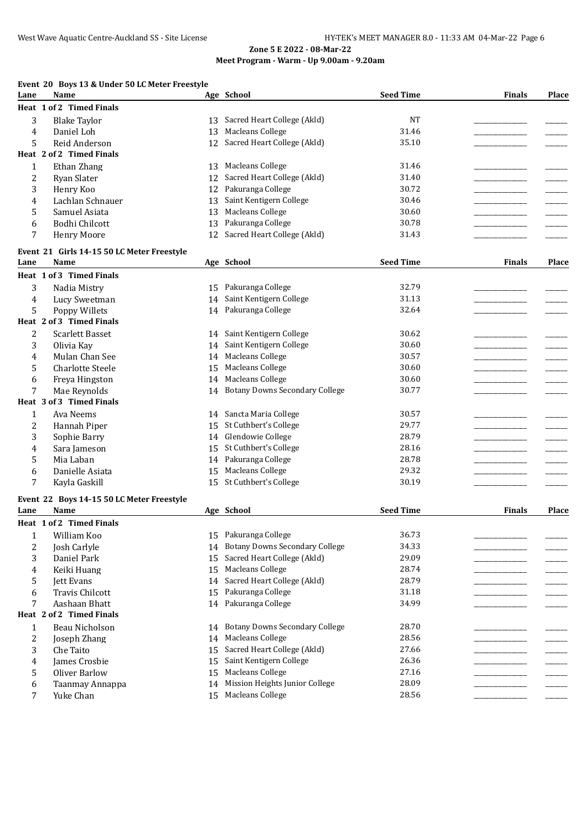# **Event 20 Boys 13 & Under 50 LC Meter Freestyle**

| Lane                    | Name                                       |    | Age School                            | <b>Seed Time</b> | <b>Finals</b> | Place |
|-------------------------|--------------------------------------------|----|---------------------------------------|------------------|---------------|-------|
|                         | Heat 1 of 2 Timed Finals                   |    |                                       |                  |               |       |
| 3                       | <b>Blake Taylor</b>                        | 13 | Sacred Heart College (Akld)           | <b>NT</b>        |               |       |
| 4                       | Daniel Loh                                 | 13 | <b>Macleans College</b>               | 31.46            |               |       |
| 5                       | Reid Anderson                              | 12 | Sacred Heart College (Akld)           | 35.10            |               |       |
|                         | Heat 2 of 2 Timed Finals                   |    |                                       |                  |               |       |
| $\mathbf{1}$            | Ethan Zhang                                | 13 | Macleans College                      | 31.46            |               |       |
| $\overline{\mathbf{c}}$ | Ryan Slater                                | 12 | Sacred Heart College (Akld)           | 31.40            |               |       |
| 3                       | Henry Koo                                  | 12 | Pakuranga College                     | 30.72            |               |       |
| 4                       | Lachlan Schnauer                           | 13 | Saint Kentigern College               | 30.46            |               |       |
| 5                       | Samuel Asiata                              | 13 | Macleans College                      | 30.60            |               |       |
| 6                       | <b>Bodhi Chilcott</b>                      | 13 | Pakuranga College                     | 30.78            |               |       |
| 7                       | <b>Henry Moore</b>                         | 12 | Sacred Heart College (Akld)           | 31.43            |               |       |
|                         | Event 21 Girls 14-15 50 LC Meter Freestyle |    |                                       |                  |               |       |
| Lane                    | Name                                       |    | Age School                            | <b>Seed Time</b> | <b>Finals</b> | Place |
|                         | Heat 1 of 3 Timed Finals                   |    |                                       |                  |               |       |
|                         |                                            |    |                                       |                  |               |       |
| 3                       | Nadia Mistry                               |    | 15 Pakuranga College                  | 32.79            |               |       |
| 4                       | Lucy Sweetman                              | 14 | Saint Kentigern College               | 31.13            |               |       |
| 5                       | Poppy Willets                              |    | 14 Pakuranga College                  | 32.64            |               |       |
|                         | Heat 2 of 3 Timed Finals                   |    |                                       |                  |               |       |
| 2                       | Scarlett Basset                            | 14 | Saint Kentigern College               | 30.62            |               |       |
| 3                       | Olivia Kay                                 | 14 | Saint Kentigern College               | 30.60            |               |       |
| 4                       | Mulan Chan See                             | 14 | Macleans College                      | 30.57            |               |       |
| 5                       | <b>Charlotte Steele</b>                    | 15 | Macleans College                      | 30.60            |               |       |
| 6                       | Freya Hingston                             | 14 | Macleans College                      | 30.60            |               |       |
| 7                       | Mae Reynolds                               | 14 | <b>Botany Downs Secondary College</b> | 30.77            |               |       |
|                         | Heat 3 of 3 Timed Finals                   |    |                                       |                  |               |       |
| $\mathbf{1}$            | Ava Neems                                  |    | 14 Sancta Maria College               | 30.57            |               |       |
| 2                       | Hannah Piper                               | 15 | St Cuthbert's College                 | 29.77            |               |       |
| 3                       | Sophie Barry                               |    | 14 Glendowie College                  | 28.79            |               |       |
| 4                       | Sara Jameson                               | 15 | St Cuthbert's College                 | 28.16            |               |       |
| 5                       | Mia Laban                                  |    | 14 Pakuranga College                  | 28.78            |               |       |
| 6                       | Danielle Asiata                            | 15 | Macleans College                      | 29.32            |               |       |
| 7                       | Kayla Gaskill                              |    | 15 St Cuthbert's College              | 30.19            |               |       |
|                         | Event 22 Boys 14-15 50 LC Meter Freestyle  |    |                                       |                  |               |       |
| Lane                    | Name                                       |    | Age School                            | <b>Seed Time</b> | <b>Finals</b> | Place |
|                         | Heat 1 of 2 Timed Finals                   |    |                                       |                  |               |       |
|                         | William Koo                                |    | 15 Pakuranga College                  | 36.73            |               |       |
| 1                       |                                            |    | <b>Botany Downs Secondary College</b> | 34.33            |               |       |
| 2                       | Josh Carlyle                               | 14 | Sacred Heart College (Akld)           | 29.09            |               |       |
| 3                       | Daniel Park                                | 15 |                                       |                  |               |       |
| 4                       | Keiki Huang                                | 15 | <b>Macleans College</b>               | 28.74            |               |       |
| 5                       | <b>Jett Evans</b>                          | 14 | Sacred Heart College (Akld)           | 28.79            |               |       |
| 6                       | <b>Travis Chilcott</b>                     | 15 | Pakuranga College                     | 31.18            |               |       |
| 7                       | Aashaan Bhatt                              |    | 14 Pakuranga College                  | 34.99            |               |       |
|                         | Heat 2 of 2 Timed Finals                   |    |                                       |                  |               |       |
| 1                       | Beau Nicholson                             |    | 14 Botany Downs Secondary College     | 28.70            |               |       |
| 2                       | Joseph Zhang                               |    | 14 Macleans College                   | 28.56            |               |       |
| 3                       | Che Taito                                  | 15 | Sacred Heart College (Akld)           | 27.66            |               |       |
| 4                       | James Crosbie                              | 15 | Saint Kentigern College               | 26.36            |               |       |
| 5                       | <b>Oliver Barlow</b>                       | 15 | Macleans College                      | 27.16            |               |       |
| 6                       | Taanmay Annappa                            | 14 | Mission Heights Junior College        | 28.09            |               |       |
| 7                       | Yuke Chan                                  | 15 | Macleans College                      | 28.56            |               |       |